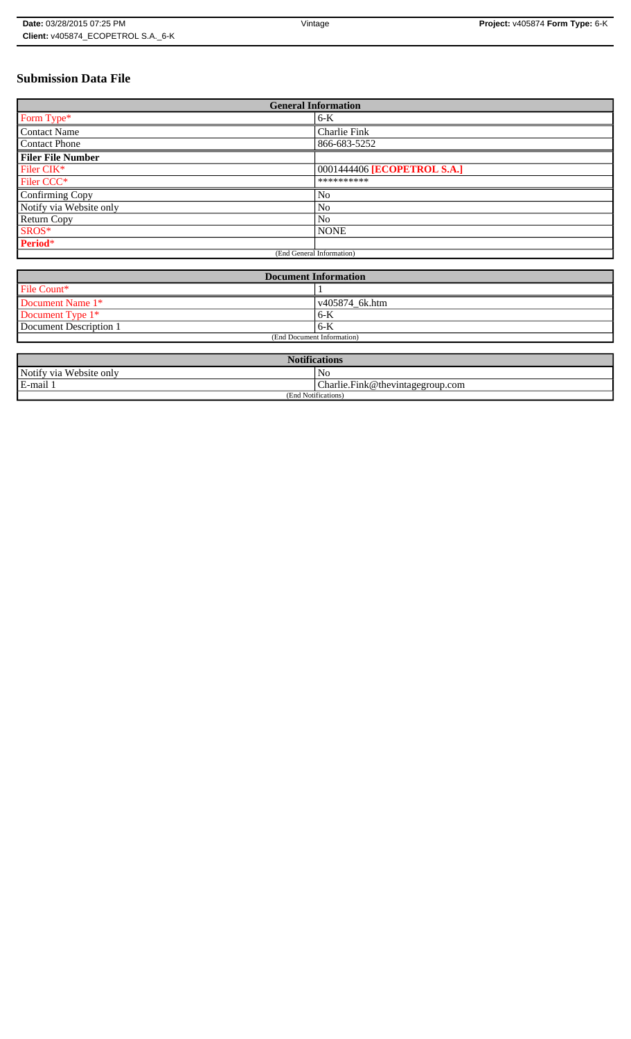# **Submission Data File**

| <b>General Information</b> |                             |  |
|----------------------------|-----------------------------|--|
| Form Type*                 | $6-K$                       |  |
| <b>Contact Name</b>        | Charlie Fink                |  |
| <b>Contact Phone</b>       | 866-683-5252                |  |
| <b>Filer File Number</b>   |                             |  |
| Filer CIK*                 | 0001444406 [ECOPETROL S.A.] |  |
| Filer CCC <sup>*</sup>     | **********                  |  |
| Confirming Copy            | No                          |  |
| Notify via Website only    | N <sub>o</sub>              |  |
| <b>Return Copy</b>         | N <sub>o</sub>              |  |
| SROS*                      | <b>NONE</b>                 |  |
| Period*                    |                             |  |
| (End General Information)  |                             |  |

| <b>Document Information</b> |                        |  |
|-----------------------------|------------------------|--|
| File Count*                 |                        |  |
| Document Name 1*            | $\sqrt{405874}$ 6k.htm |  |
| Document Type 1*            | 6-K                    |  |
| Document Description 1      | 6-K                    |  |
| (End Document Information)  |                        |  |

| <b>Notifications</b>       |                                  |  |
|----------------------------|----------------------------------|--|
| Notify via<br>Website only | N <sub>0</sub>                   |  |
| E-mail                     | Charlie.Fink@thevintagegroup.com |  |
| (End Notifications)        |                                  |  |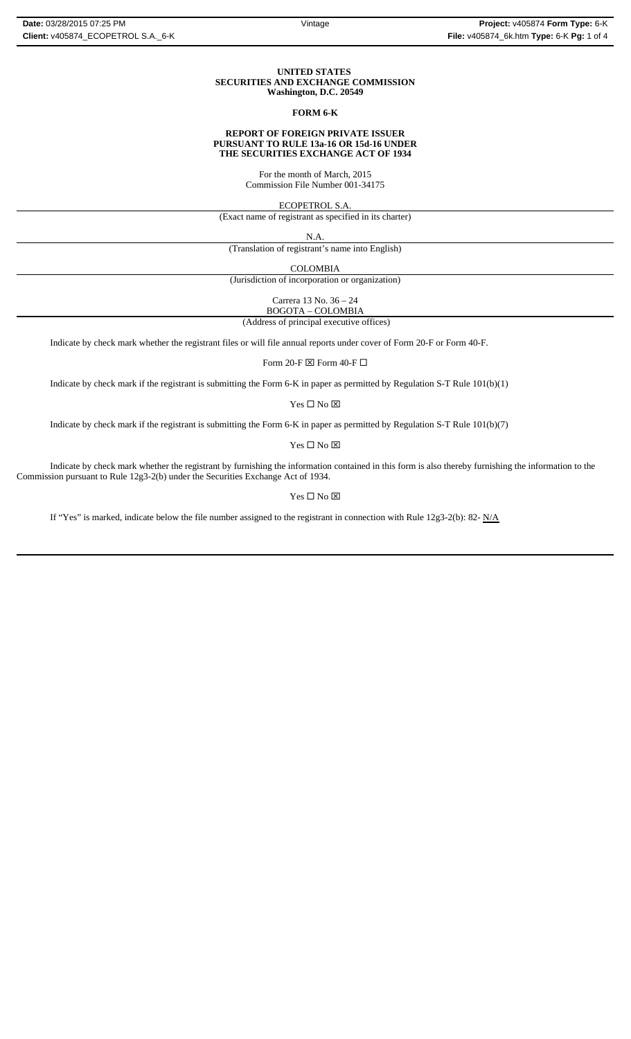#### **UNITED STATES SECURITIES AND EXCHANGE COMMISSION Washington, D.C. 20549**

### **FORM 6-K**

#### **REPORT OF FOREIGN PRIVATE ISSUER PURSUANT TO RULE 13a-16 OR 15d-16 UNDER THE SECURITIES EXCHANGE ACT OF 1934**

For the month of March, 2015 Commission File Number 001-34175

ECOPETROL S.A.

(Exact name of registrant as specified in its charter)

N.A.

(Translation of registrant's name into English)

COLOMBIA

(Jurisdiction of incorporation or organization)

Carrera 13 No. 36 – 24

BOGOTA – COLOMBIA

(Address of principal executive offices)

Indicate by check mark whether the registrant files or will file annual reports under cover of Form 20-F or Form 40-F.

Form 20-F  $\boxtimes$  Form 40-F  $\Box$ 

Indicate by check mark if the registrant is submitting the Form 6-K in paper as permitted by Regulation S-T Rule 101(b)(1)

Yes $\Box$  No  $\boxtimes$ 

Indicate by check mark if the registrant is submitting the Form 6-K in paper as permitted by Regulation S-T Rule 101(b)(7)

Yes □ No ⊠

Indicate by check mark whether the registrant by furnishing the information contained in this form is also thereby furnishing the information to the Commission pursuant to Rule 12g3-2(b) under the Securities Exchange Act of 1934.

 $\mathbf{Yes} \ \square \ \mathbf{No} \ \boxtimes$ 

If "Yes" is marked, indicate below the file number assigned to the registrant in connection with Rule 12g3-2(b): 82-  $N/A$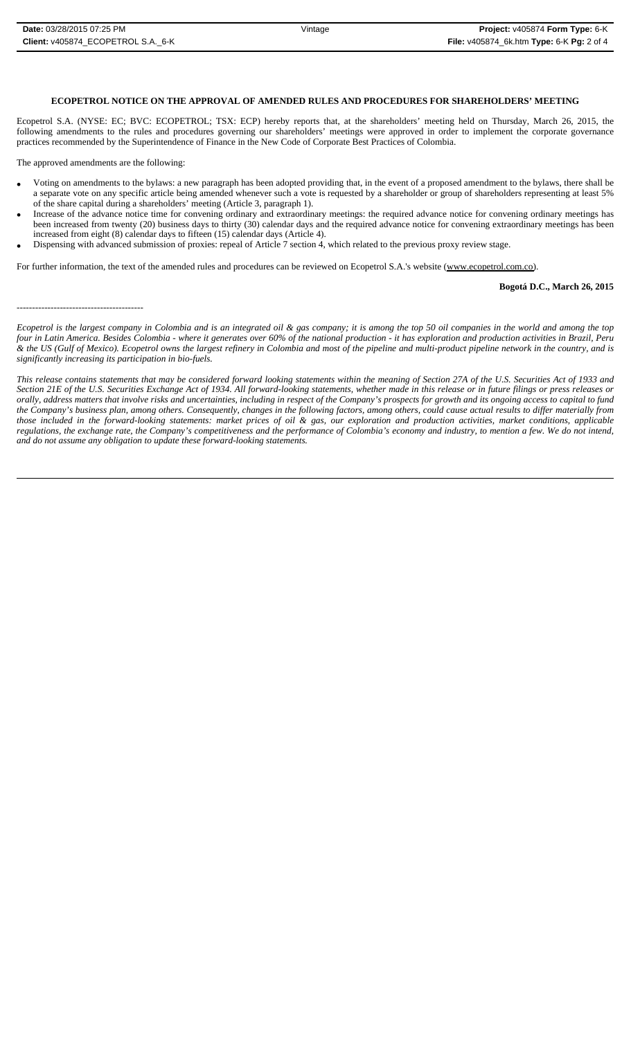# **ECOPETROL NOTICE ON THE APPROVAL OF AMENDED RULES AND PROCEDURES FOR SHAREHOLDERS' MEETING**

Ecopetrol S.A. (NYSE: EC; BVC: ECOPETROL; TSX: ECP) hereby reports that, at the shareholders' meeting held on Thursday, March 26, 2015, the following amendments to the rules and procedures governing our shareholders' meetings were approved in order to implement the corporate governance practices recommended by the Superintendence of Finance in the New Code of Corporate Best Practices of Colombia.

The approved amendments are the following:

- Voting on amendments to the bylaws: a new paragraph has been adopted providing that, in the event of a proposed amendment to the bylaws, there shall be a separate vote on any specific article being amended whenever such a vote is requested by a shareholder or group of shareholders representing at least 5% of the share capital during a shareholders' meeting (Article 3, paragraph 1).
- Increase of the advance notice time for convening ordinary and extraordinary meetings: the required advance notice for convening ordinary meetings has been increased from twenty (20) business days to thirty (30) calendar days and the required advance notice for convening extraordinary meetings has been increased from eight (8) calendar days to fifteen (15) calendar days (Article 4).
- Dispensing with advanced submission of proxies: repeal of Article 7 section 4, which related to the previous proxy review stage.

For further information, the text of the amended rules and procedures can be reviewed on Ecopetrol S.A.'s website (www.ecopetrol.com.co).

#### **Bogotá D.C., March 26, 2015**

-----------------------------------------

*Ecopetrol is the largest company in Colombia and is an integrated oil & gas company; it is among the top 50 oil companies in the world and among the top four in Latin America. Besides Colombia - where it generates over 60% of the national production - it has exploration and production activities in Brazil, Peru & the US (Gulf of Mexico). Ecopetrol owns the largest refinery in Colombia and most of the pipeline and multi-product pipeline network in the country, and is significantly increasing its participation in bio-fuels.*

*This release contains statements that may be considered forward looking statements within the meaning of Section 27A of the U.S. Securities Act of 1933 and Section 21E of the U.S. Securities Exchange Act of 1934. All forward-looking statements, whether made in this release or in future filings or press releases or orally, address matters that involve risks and uncertainties, including in respect of the Company's prospects for growth and its ongoing access to capital to fund the Company's business plan, among others. Consequently, changes in the following factors, among others, could cause actual results to differ materially from those included in the forward-looking statements: market prices of oil & gas, our exploration and production activities, market conditions, applicable regulations, the exchange rate, the Company's competitiveness and the performance of Colombia's economy and industry, to mention a few. We do not intend, and do not assume any obligation to update these forward-looking statements.*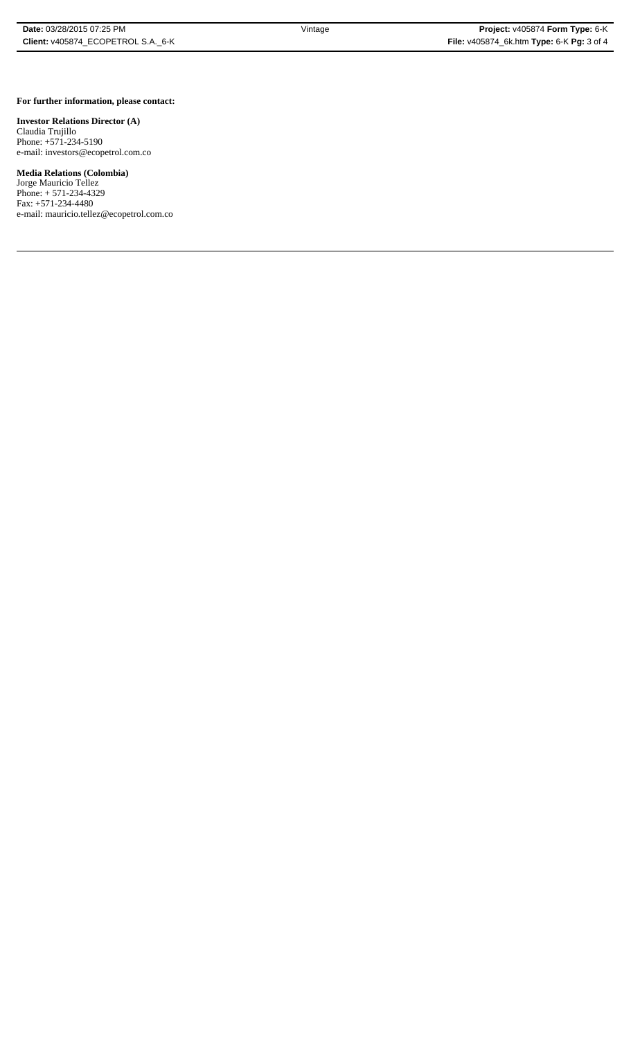### **For further information, please contact:**

## **Investor Relations Director (A)**

Claudia Trujillo Phone: +571-234-5190 e-mail: investors@ecopetrol.com.co

**Media Relations (Colombia)**  Jorge Mauricio Tellez

Phone: + 571-234-4329 Fax: +571-234-4480 e-mail: mauricio.tellez@ecopetrol.com.co